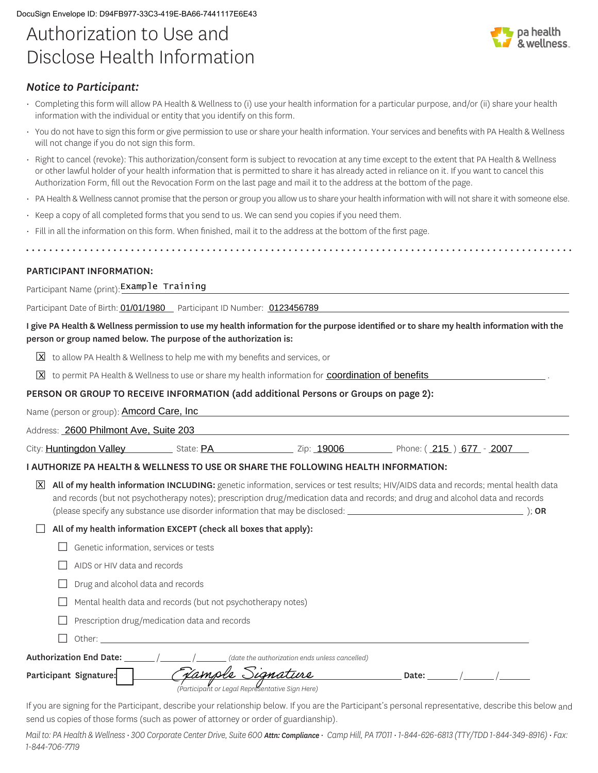# Authorization to Use and Disclose Health Information



### *Notice to Participant:*

- Completing this form will allow PA Health & Wellness to (i) use your health information for a particular purpose, and/or (ii) share your health information with the individual or entity that you identify on this form.
- You do not have to sign this form or give permission to use or share your health information. Your services and benefits with PA Health & Wellness will not change if you do not sign this form.
- Right to cancel (revoke): This authorization/consent form is subject to revocation at any time except to the extent that PA Health & Wellness or other lawful holder of your health information that is permitted to share it has already acted in reliance on it. If you want to cancel this Authorization Form, fill out the Revocation Form on the last page and mail it to the address at the bottom of the page.
- PA Health & Wellness cannot promise that the person or group you allow us to share your health information with will not share it with someone else.

- Keep a copy of all completed forms that you send to us. We can send you copies if you need them.
- Fill in all the information on this form. When finished, mail it to the address at the bottom of the first page.
- PARTICIPANT INFORMATION:

## Participant Name (print): Example Training

Participant Date of Birth: 01/01/1980 Participant ID Number: 0123456789

I give PA Health & Wellness permission to use my health information for the purpose identified or to share my health information with the person or group named below. The purpose of the authorization is:

- $\boxed{\mathbf{X}}$  to allow PA Health & Wellness to help me with my benefits and services, or
- X to permit PA Health & Wellness to use or share my health information for **coordination of benefits**

#### PERSON OR GROUP TO RECEIVE INFORMATION (add additional Persons or Groups on page 2):

Name (person or group): **Amcord Care, Inc** 

Address: 2600 Philmont Ave, Suite 203

City: State: Zip: Phone: ( ) - PA 2007 Huntingdon Valley 19006 215 677

#### I AUTHORIZE PA HEALTH & WELLNESS TO USE OR SHARE THE FOLLOWING HEALTH INFORMATION:

X All of my health information INCLUDING: genetic information, services or test results; HIV/AIDS data and records; mental health data and records (but not psychotherapy notes); prescription drug/medication data and records; and drug and alcohol data and records (please specify any substance use disorder information that may be disclosed: ); OR

#### $\Box$  All of my health information EXCEPT (check all boxes that apply):

- $\Box$  Genetic information, services or tests
- $\Box$  AIDS or HIV data and records
- $\Box$  Drug and alcohol data and records
- $\Box$  Mental health data and records (but not psychotherapy notes)
- $\Box$  Prescription drug/medication data and records
- □ Other:

| Authorization End Date: | (date the authorization ends unless cancelled)                      |       |  |
|-------------------------|---------------------------------------------------------------------|-------|--|
| Participant Signature:  | Vample Signature<br>(Participant or Legal Representative Sign Here) | Date: |  |

If you are signing for the Participant, describe your relationship below. If you are the Participant's personal representative, describe this below and send us copies of those forms (such as power of attorney or order of guardianship).

Mail to: PA Health & Wellness · 300 Corporate Center Drive, Suite 600 Attn: Compliance · Camp Hill, PA 17011 · 1-844-626-6813 (TTY/TDD 1-844-349-8916) · Fax: *1-844-706-7719*